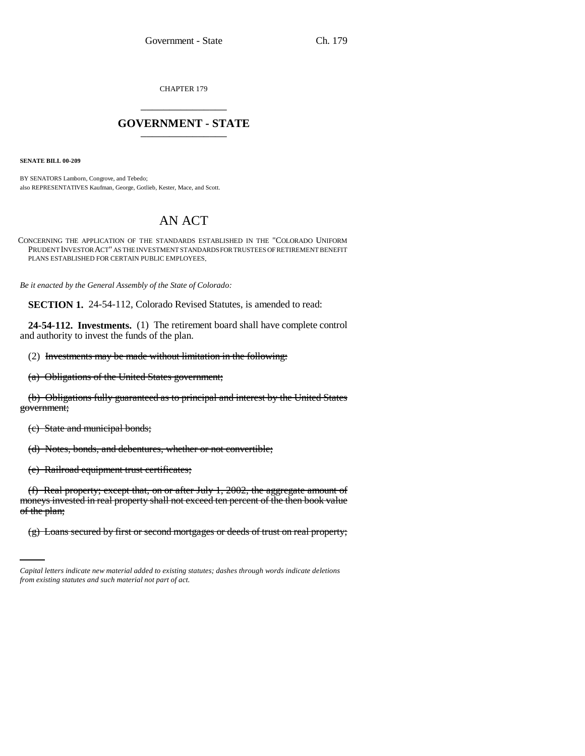CHAPTER 179 \_\_\_\_\_\_\_\_\_\_\_\_\_\_\_

## **GOVERNMENT - STATE** \_\_\_\_\_\_\_\_\_\_\_\_\_\_\_

**SENATE BILL 00-209** 

BY SENATORS Lamborn, Congrove, and Tebedo; also REPRESENTATIVES Kaufman, George, Gotlieb, Kester, Mace, and Scott.

## AN ACT

CONCERNING THE APPLICATION OF THE STANDARDS ESTABLISHED IN THE "COLORADO UNIFORM PRUDENT INVESTOR ACT" AS THE INVESTMENT STANDARDS FOR TRUSTEES OF RETIREMENT BENEFIT PLANS ESTABLISHED FOR CERTAIN PUBLIC EMPLOYEES.

*Be it enacted by the General Assembly of the State of Colorado:*

**SECTION 1.** 24-54-112, Colorado Revised Statutes, is amended to read:

**24-54-112. Investments.** (1) The retirement board shall have complete control and authority to invest the funds of the plan.

(2) Investments may be made without limitation in the following:

(a) Obligations of the United States government;

(b) Obligations fully guaranteed as to principal and interest by the United States government;

(c) State and municipal bonds;

(d) Notes, bonds, and debentures, whether or not convertible;

(e) Railroad equipment trust certificates;

of the plan; (f) Real property; except that, on or after July 1, 2002, the aggregate amount of moneys invested in real property shall not exceed ten percent of the then book value

(g) Loans secured by first or second mortgages or deeds of trust on real property;

*Capital letters indicate new material added to existing statutes; dashes through words indicate deletions from existing statutes and such material not part of act.*